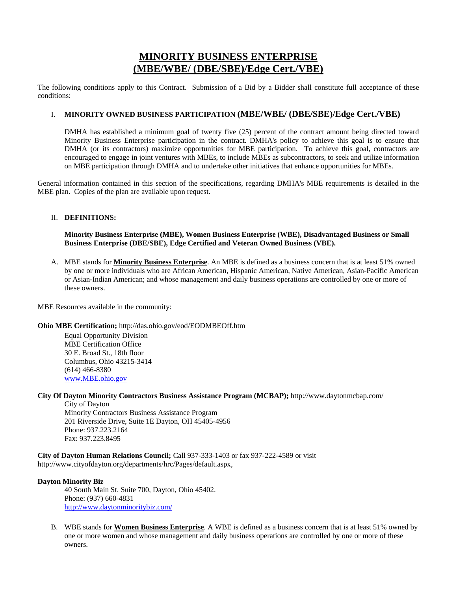# **MINORITY BUSINESS ENTERPRISE (MBE/WBE/ (DBE/SBE)/Edge Cert./VBE)**

The following conditions apply to this Contract. Submission of a Bid by a Bidder shall constitute full acceptance of these conditions:

# I. **MINORITY OWNED BUSINESS PARTICIPATION (MBE/WBE/ (DBE/SBE)/Edge Cert./VBE)**

DMHA has established a minimum goal of twenty five (25) percent of the contract amount being directed toward Minority Business Enterprise participation in the contract. DMHA's policy to achieve this goal is to ensure that DMHA (or its contractors) maximize opportunities for MBE participation. To achieve this goal, contractors are encouraged to engage in joint ventures with MBEs, to include MBEs as subcontractors, to seek and utilize information on MBE participation through DMHA and to undertake other initiatives that enhance opportunities for MBEs.

General information contained in this section of the specifications, regarding DMHA's MBE requirements is detailed in the MBE plan. Copies of the plan are available upon request.

# II. **DEFINITIONS:**

### **Minority Business Enterprise (MBE), Women Business Enterprise (WBE), Disadvantaged Business or Small Business Enterprise (DBE/SBE), Edge Certified and Veteran Owned Business (VBE).**

A. MBE stands for **Minority Business Enterprise**. An MBE is defined as a business concern that is at least 51% owned by one or more individuals who are African American, Hispanic American, Native American, Asian-Pacific American or Asian-Indian American; and whose management and daily business operations are controlled by one or more of these owners.

MBE Resources available in the community:

#### **Ohio MBE Certification;** http://das.ohio.gov/eod/EODMBEOff.htm

Equal Opportunity Division MBE Certification Office 30 E. Broad St., 18th floor Columbus, Ohio 43215-3414 (614) 466-8380 www.MBE.ohio.gov

#### **City Of Dayton Minority Contractors Business Assistance Program (MCBAP);** http://www.daytonmcbap.com/

City of Dayton Minority Contractors Business Assistance Program 201 Riverside Drive, Suite 1E Dayton, OH 45405-4956 Phone: 937.223.2164 Fax: 937.223.8495

**City of Dayton Human Relations Council;** Call 937-333-1403 or fax 937-222-4589 or visit http://www.cityofdayton.org/departments/hrc/Pages/default.aspx,

# **Dayton Minority Biz**

40 South Main St. Suite 700, Dayton, Ohio 45402. Phone: (937) 660-4831 http://www.daytonminoritybiz.com/

B. WBE stands for **Women Business Enterprise**. A WBE is defined as a business concern that is at least 51% owned by one or more women and whose management and daily business operations are controlled by one or more of these owners.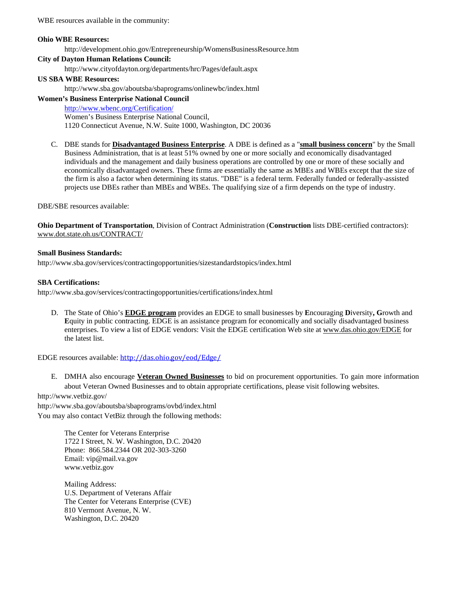WBE resources available in the community:

#### **Ohio WBE Resources:**

http://development.ohio.gov/Entrepreneurship/WomensBusinessResource.htm

# **City of Dayton Human Relations Council:**

http://www.cityofdayton.org/departments/hrc/Pages/default.aspx

### **US SBA WBE Resources:**

http://www.sba.gov/aboutsba/sbaprograms/onlinewbc/index.html

#### **Women's Business Enterprise National Council**

http://www.wbenc.org/Certification/ Women's Business Enterprise National Council, 1120 Connecticut Avenue, N.W. Suite 1000, Washington, DC 20036

C. DBE stands for **Disadvantaged Business Enterprise**. A DBE is defined as a "**small business concern**" by the Small Business Administration, that is at least 51% owned by one or more socially and economically disadvantaged individuals and the management and daily business operations are controlled by one or more of these socially and economically disadvantaged owners. These firms are essentially the same as MBEs and WBEs except that the size of the firm is also a factor when determining its status. "DBE" is a federal term. Federally funded or federally-assisted projects use DBEs rather than MBEs and WBEs. The qualifying size of a firm depends on the type of industry.

DBE/SBE resources available:

**Ohio Department of Transportation**, Division of Contract Administration (**Construction** lists DBE-certified contractors): www.dot.state.oh.us/CONTRACT/

#### **Small Business Standards:**

http://www.sba.gov/services/contractingopportunities/sizestandardstopics/index.html

#### **SBA Certifications:**

http://www.sba.gov/services/contractingopportunities/certifications/index.html

D. The State of Ohio's **EDGE program** provides an EDGE to small businesses by **E**ncouraging **D**iversity**, G**rowth and **E**quity in public contracting. EDGE is an assistance program for economically and socially disadvantaged business enterprises. To view a list of EDGE vendors: Visit the EDGE certification Web site at www.das.ohio.gov/EDGE for the latest list.

EDGE resources available: http://das.ohio.gov/eod/Edge/

E. DMHA also encourage **Veteran Owned Businesses** to bid on procurement opportunities. To gain more information about Veteran Owned Businesses and to obtain appropriate certifications, please visit following websites.

http://www.vetbiz.gov/ http://www.sba.gov/aboutsba/sbaprograms/ovbd/index.html You may also contact VetBiz through the following methods:

> The Center for Veterans Enterprise 1722 I Street, N. W. Washington, D.C. 20420 Phone: 866.584.2344 OR 202-303-3260 Email: vip@mail.va.gov www.vetbiz.gov

Mailing Address: U.S. Department of Veterans Affair The Center for Veterans Enterprise (CVE) 810 Vermont Avenue, N. W. Washington, D.C. 20420